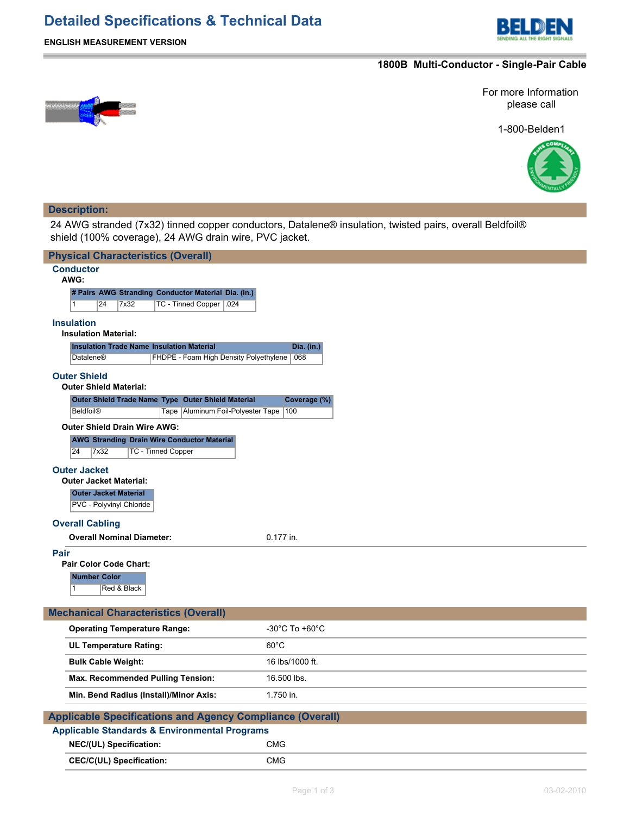## **Detailed Specifications & Technical Data**



## **ENGLISH MEASUREMENT VERSION**

## **1800B Multi-Conductor - Single-Pair Cable**



1-800-Belden1



## **Description:**

L.

24 AWG stranded (7x32) tinned copper conductors, Datalene® insulation, twisted pairs, overall Beldfoil® shield (100% coverage), 24 AWG drain wire, PVC jacket.

| <b>Physical Characteristics (Overall)</b>                                                                      |  |  |  |  |  |  |  |  |
|----------------------------------------------------------------------------------------------------------------|--|--|--|--|--|--|--|--|
| <b>Conductor</b>                                                                                               |  |  |  |  |  |  |  |  |
| AWG:                                                                                                           |  |  |  |  |  |  |  |  |
| # Pairs AWG Stranding Conductor Material Dia. (in.)<br>TC - Tinned Copper   .024<br>$\mathbf{1}$<br>24<br>7x32 |  |  |  |  |  |  |  |  |
|                                                                                                                |  |  |  |  |  |  |  |  |
| <b>Insulation</b><br><b>Insulation Material:</b>                                                               |  |  |  |  |  |  |  |  |
| <b>Insulation Trade Name Insulation Material</b><br>Dia. (in.)                                                 |  |  |  |  |  |  |  |  |
| FHDPE - Foam High Density Polyethylene 068<br><b>Datalene®</b>                                                 |  |  |  |  |  |  |  |  |
| <b>Outer Shield</b>                                                                                            |  |  |  |  |  |  |  |  |
| <b>Outer Shield Material:</b>                                                                                  |  |  |  |  |  |  |  |  |
| Outer Shield Trade Name Type Outer Shield Material<br>Coverage (%)                                             |  |  |  |  |  |  |  |  |
| <b>Beldfoil®</b><br>Tape   Aluminum Foil-Polyester Tape   100                                                  |  |  |  |  |  |  |  |  |
| <b>Outer Shield Drain Wire AWG:</b>                                                                            |  |  |  |  |  |  |  |  |
| <b>AWG Stranding Drain Wire Conductor Material</b><br>24<br>7x32<br><b>TC - Tinned Copper</b>                  |  |  |  |  |  |  |  |  |
|                                                                                                                |  |  |  |  |  |  |  |  |
| <b>Outer Jacket</b><br><b>Outer Jacket Material:</b>                                                           |  |  |  |  |  |  |  |  |
| <b>Outer Jacket Material</b>                                                                                   |  |  |  |  |  |  |  |  |
| PVC - Polyvinyl Chloride                                                                                       |  |  |  |  |  |  |  |  |
| <b>Overall Cabling</b>                                                                                         |  |  |  |  |  |  |  |  |
| <b>Overall Nominal Diameter:</b><br>0.177 in.                                                                  |  |  |  |  |  |  |  |  |
| Pair                                                                                                           |  |  |  |  |  |  |  |  |
| <b>Pair Color Code Chart:</b>                                                                                  |  |  |  |  |  |  |  |  |
| <b>Number Color</b>                                                                                            |  |  |  |  |  |  |  |  |
| Red & Black<br>1                                                                                               |  |  |  |  |  |  |  |  |
|                                                                                                                |  |  |  |  |  |  |  |  |
| <b>Mechanical Characteristics (Overall)</b>                                                                    |  |  |  |  |  |  |  |  |
| <b>Operating Temperature Range:</b><br>$-30^{\circ}$ C To $+60^{\circ}$ C                                      |  |  |  |  |  |  |  |  |
| $60^{\circ}$ C<br><b>UL Temperature Rating:</b>                                                                |  |  |  |  |  |  |  |  |
| 16 lbs/1000 ft.<br><b>Bulk Cable Weight:</b>                                                                   |  |  |  |  |  |  |  |  |
| Max. Recommended Pulling Tension:<br>16.500 lbs.                                                               |  |  |  |  |  |  |  |  |
| 1.750 in.<br>Min. Bend Radius (Install)/Minor Axis:                                                            |  |  |  |  |  |  |  |  |
| <b>Applicable Specifications and Agency Compliance (Overall)</b>                                               |  |  |  |  |  |  |  |  |
| <b>Applicable Standards &amp; Environmental Programs</b>                                                       |  |  |  |  |  |  |  |  |
| NEC/(UL) Specification:<br><b>CMG</b>                                                                          |  |  |  |  |  |  |  |  |
| <b>CMG</b><br><b>CEC/C(UL) Specification:</b>                                                                  |  |  |  |  |  |  |  |  |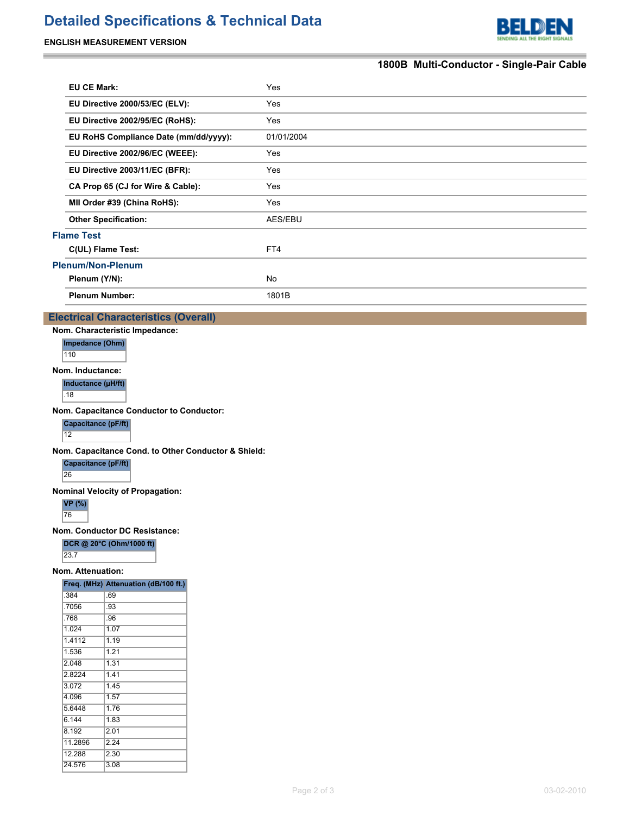# **Detailed Specifications & Technical Data**

### **ENGLISH MEASUREMENT VERSION**

L.



## **1800B Multi-Conductor - Single-Pair Cable**

|                          | <b>EU CE Mark:</b>                    | Yes        |  |  |
|--------------------------|---------------------------------------|------------|--|--|
|                          | EU Directive 2000/53/EC (ELV):        | Yes        |  |  |
|                          | EU Directive 2002/95/EC (RoHS):       | Yes        |  |  |
|                          | EU RoHS Compliance Date (mm/dd/yyyy): | 01/01/2004 |  |  |
|                          | EU Directive 2002/96/EC (WEEE):       | Yes        |  |  |
|                          | EU Directive 2003/11/EC (BFR):        | Yes        |  |  |
|                          | CA Prop 65 (CJ for Wire & Cable):     | Yes        |  |  |
|                          | MII Order #39 (China RoHS):           | Yes        |  |  |
|                          | <b>Other Specification:</b>           | AES/EBU    |  |  |
| <b>Flame Test</b>        |                                       |            |  |  |
|                          | C(UL) Flame Test:                     | FT4        |  |  |
| <b>Plenum/Non-Plenum</b> |                                       |            |  |  |
|                          | Plenum (Y/N):                         | No         |  |  |
|                          | <b>Plenum Number:</b>                 | 1801B      |  |  |
|                          |                                       |            |  |  |

### **Electrical Characteristics (Overall)**

**Nom. Characteristic Impedance:**

**Impedance (Ohm)** 110

**Nom. Inductance:**

**Inductance (µH/ft)**

 $\overline{.18}$ 

**Nom. Capacitance Conductor to Conductor:**

**Capacitance (pF/ft)** 12

**Nom. Capacitance Cond. to Other Conductor & Shield:**

**Capacitance (pF/ft)**

26

#### **Nominal Velocity of Propagation:**

**VP (%)** 76

**Nom. Conductor DC Resistance:**

**DCR @ 20°C (Ohm/1000 ft)**

23.7

**Nom. Attenuation: Freq. (MHz) Attenuation (dB/100 ft.)**

|         | rieg. (Mriz) Allendation (dD/100 it.) |
|---------|---------------------------------------|
| .384    | .69                                   |
| .7056   | .93                                   |
| .768    | .96                                   |
| 1.024   | 1.07                                  |
| 1.4112  | 1.19                                  |
| 1.536   | 1.21                                  |
| 2.048   | 1.31                                  |
| 2.8224  | 1.41                                  |
| 3.072   | 1.45                                  |
| 4.096   | 1.57                                  |
| 5.6448  | 1.76                                  |
| 6.144   | 1.83                                  |
| 8.192   | 2.01                                  |
| 11.2896 | 2.24                                  |
| 12.288  | 2.30                                  |
| 24.576  | 3.08                                  |